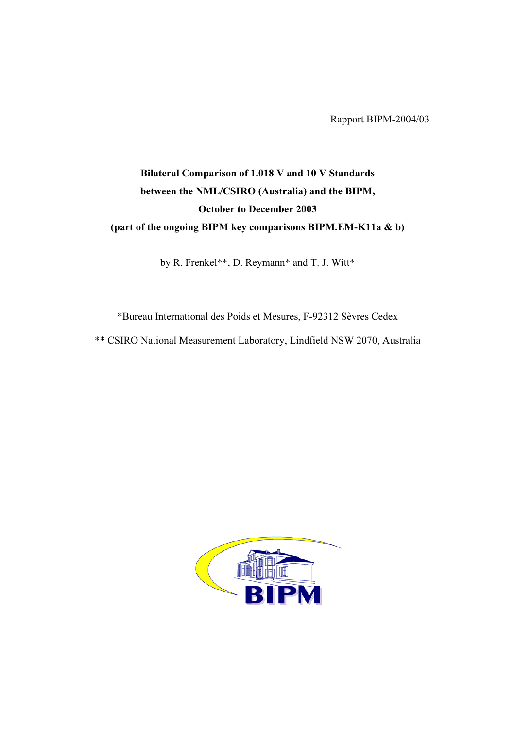Rapport BIPM-2004/03

## Bilateral Comparison of 1.018 V and 10 V Standards between the NML/CSIRO (Australia) and the BIPM, October to December 2003 (part of the ongoing BIPM key comparisons BIPM.EM-K11a & b)

by R. Frenkel\*\*, D. Reymann\* and T. J. Witt\*

\*Bureau International des Poids et Mesures, F-92312 Sèvres Cedex

\*\* CSIRO National Measurement Laboratory, Lindfield NSW 2070, Australia

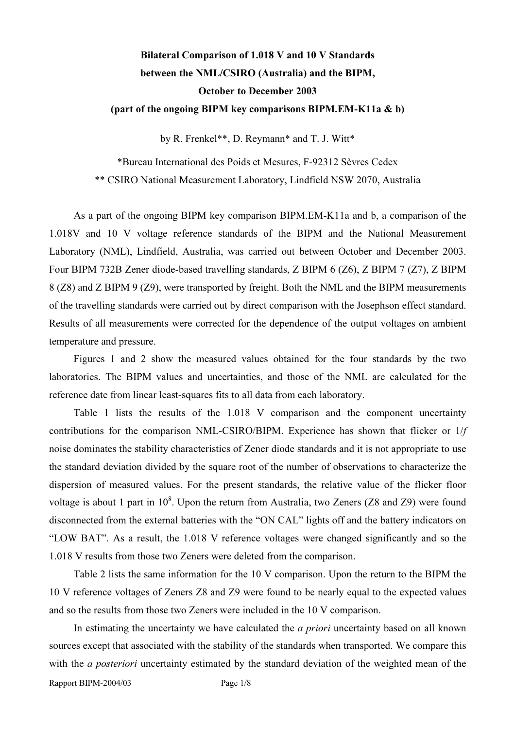## Bilateral Comparison of 1.018 V and 10 V Standards between the NML/CSIRO (Australia) and the BIPM, October to December 2003 (part of the ongoing BIPM key comparisons BIPM.EM-K11a & b)

by R. Frenkel\*\*, D. Reymann\* and T. J. Witt\*

\*Bureau International des Poids et Mesures, F-92312 Sèvres Cedex \*\* CSIRO National Measurement Laboratory, Lindfield NSW 2070, Australia

As a part of the ongoing BIPM key comparison BIPM.EM-K11a and b, a comparison of the 1.018V and 10 V voltage reference standards of the BIPM and the National Measurement Laboratory (NML), Lindfield, Australia, was carried out between October and December 2003. Four BIPM 732B Zener diode-based travelling standards, Z BIPM 6 (Z6), Z BIPM 7 (Z7), Z BIPM 8 (Z8) and Z BIPM 9 (Z9), were transported by freight. Both the NML and the BIPM measurements of the travelling standards were carried out by direct comparison with the Josephson effect standard. Results of all measurements were corrected for the dependence of the output voltages on ambient temperature and pressure.

Figures 1 and 2 show the measured values obtained for the four standards by the two laboratories. The BIPM values and uncertainties, and those of the NML are calculated for the reference date from linear least-squares fits to all data from each laboratory.

Table 1 lists the results of the 1.018 V comparison and the component uncertainty contributions for the comparison NML-CSIRO/BIPM. Experience has shown that flicker or 1/f noise dominates the stability characteristics of Zener diode standards and it is not appropriate to use the standard deviation divided by the square root of the number of observations to characterize the dispersion of measured values. For the present standards, the relative value of the flicker floor voltage is about 1 part in  $10^8$ . Upon the return from Australia, two Zeners (Z8 and Z9) were found disconnected from the external batteries with the "ON CAL" lights off and the battery indicators on "LOW BAT". As a result, the 1.018 V reference voltages were changed significantly and so the 1.018 V results from those two Zeners were deleted from the comparison.

Table 2 lists the same information for the 10 V comparison. Upon the return to the BIPM the 10 V reference voltages of Zeners Z8 and Z9 were found to be nearly equal to the expected values and so the results from those two Zeners were included in the 10 V comparison.

In estimating the uncertainty we have calculated the *a priori* uncertainty based on all known sources except that associated with the stability of the standards when transported. We compare this with the *a posteriori* uncertainty estimated by the standard deviation of the weighted mean of the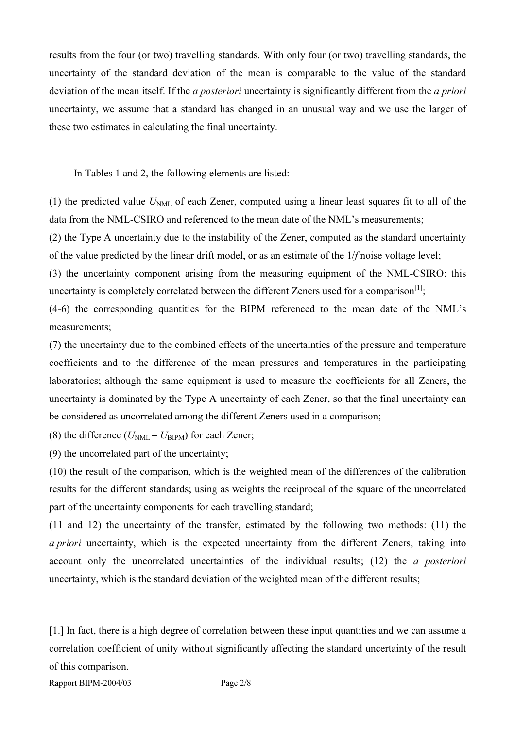results from the four (or two) travelling standards. With only four (or two) travelling standards, the uncertainty of the standard deviation of the mean is comparable to the value of the standard deviation of the mean itself. If the *a posteriori* uncertainty is significantly different from the *a priori* uncertainty, we assume that a standard has changed in an unusual way and we use the larger of these two estimates in calculating the final uncertainty.

In Tables 1 and 2, the following elements are listed:

(1) the predicted value  $U<sub>NML</sub>$  of each Zener, computed using a linear least squares fit to all of the data from the NML-CSIRO and referenced to the mean date of the NML's measurements;

(2) the Type A uncertainty due to the instability of the Zener, computed as the standard uncertainty of the value predicted by the linear drift model, or as an estimate of the 1/f noise voltage level;

(3) the uncertainty component arising from the measuring equipment of the NML-CSIRO: this uncertainty is completely correlated between the different Zeners used for a comparison<sup>[1]</sup>;

(4-6) the corresponding quantities for the BIPM referenced to the mean date of the NML's measurements;

(7) the uncertainty due to the combined effects of the uncertainties of the pressure and temperature coefficients and to the difference of the mean pressures and temperatures in the participating laboratories; although the same equipment is used to measure the coefficients for all Zeners, the uncertainty is dominated by the Type A uncertainty of each Zener, so that the final uncertainty can be considered as uncorrelated among the different Zeners used in a comparison;

(8) the difference ( $U_{\text{NML}} - U_{\text{BIPM}}$ ) for each Zener;

(9) the uncorrelated part of the uncertainty;

(10) the result of the comparison, which is the weighted mean of the differences of the calibration results for the different standards; using as weights the reciprocal of the square of the uncorrelated part of the uncertainty components for each travelling standard;

(11 and 12) the uncertainty of the transfer, estimated by the following two methods: (11) the a priori uncertainty, which is the expected uncertainty from the different Zeners, taking into account only the uncorrelated uncertainties of the individual results; (12) the a posteriori uncertainty, which is the standard deviation of the weighted mean of the different results;

 $\overline{a}$ 

<sup>[1.]</sup> In fact, there is a high degree of correlation between these input quantities and we can assume a correlation coefficient of unity without significantly affecting the standard uncertainty of the result of this comparison.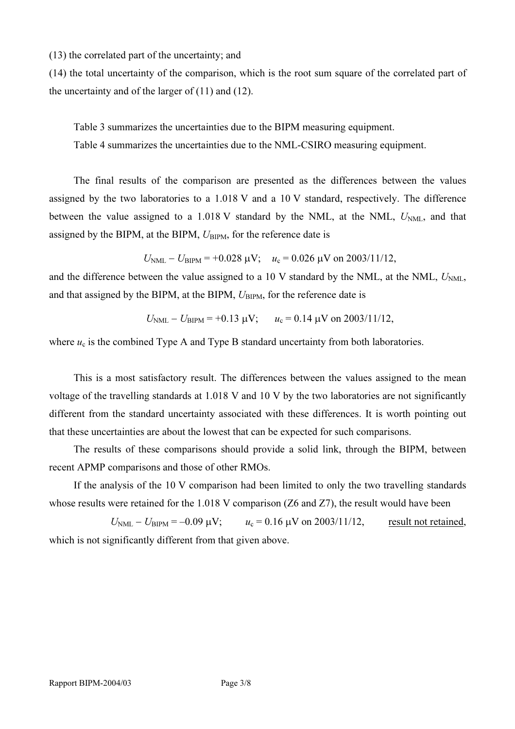(13) the correlated part of the uncertainty; and

(14) the total uncertainty of the comparison, which is the root sum square of the correlated part of the uncertainty and of the larger of  $(11)$  and  $(12)$ .

Table 3 summarizes the uncertainties due to the BIPM measuring equipment. Table 4 summarizes the uncertainties due to the NML-CSIRO measuring equipment.

The final results of the comparison are presented as the differences between the values assigned by the two laboratories to a 1.018 V and a 10 V standard, respectively. The difference between the value assigned to a 1.018 V standard by the NML, at the NML,  $U<sub>NML</sub>$ , and that assigned by the BIPM, at the BIPM,  $U_{\text{BIPM}}$ , for the reference date is

$$
U_{\text{NML}} - U_{\text{BIPM}} = +0.028 \text{ }\mu\text{V};
$$
  $u_c = 0.026 \text{ }\mu\text{V}$  on 2003/11/12,

and the difference between the value assigned to a 10 V standard by the NML, at the NML,  $U_{NMI}$ , and that assigned by the BIPM, at the BIPM,  $U_{\text{BIPM}}$ , for the reference date is

$$
U_{\text{NML}} - U_{\text{BIPM}} = +0.13 \text{ }\mu\text{V};
$$
  $u_c = 0.14 \text{ }\mu\text{V on } 2003/11/12,$ 

where  $u_c$  is the combined Type A and Type B standard uncertainty from both laboratories.

This is a most satisfactory result. The differences between the values assigned to the mean voltage of the travelling standards at 1.018 V and 10 V by the two laboratories are not significantly different from the standard uncertainty associated with these differences. It is worth pointing out that these uncertainties are about the lowest that can be expected for such comparisons.

The results of these comparisons should provide a solid link, through the BIPM, between recent APMP comparisons and those of other RMOs.

If the analysis of the 10 V comparison had been limited to only the two travelling standards whose results were retained for the 1.018 V comparison (Z6 and Z7), the result would have been

 $U_{\text{NML}} - U_{\text{BIPM}} = -0.09 \text{ }\mu\text{V};$   $u_c = 0.16 \text{ }\mu\text{V}$  on 2003/11/12, result not retained, which is not significantly different from that given above.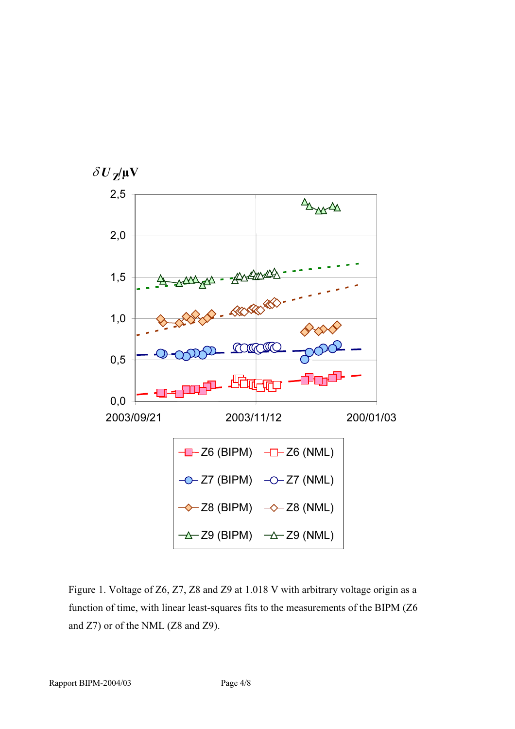

Figure 1. Voltage of Z6, Z7, Z8 and Z9 at 1.018 V with arbitrary voltage origin as a function of time, with linear least-squares fits to the measurements of the BIPM (Z6 and Z7) or of the NML (Z8 and Z9).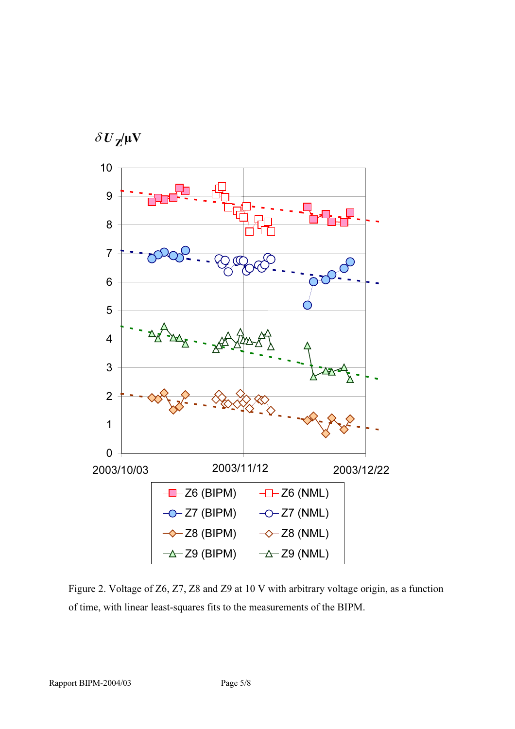

Figure 2. Voltage of Z6, Z7, Z8 and Z9 at 10 V with arbitrary voltage origin, as a function of time, with linear least-squares fits to the measurements of the BIPM.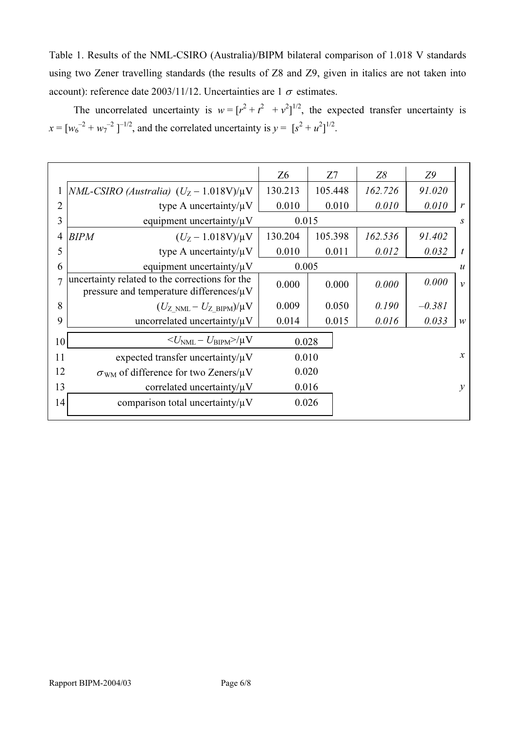Table 1. Results of the NML-CSIRO (Australia)/BIPM bilateral comparison of 1.018 V standards using two Zener travelling standards (the results of Z8 and Z9, given in italics are not taken into account): reference date 2003/11/12. Uncertainties are 1  $\sigma$  estimates.

The uncorrelated uncertainty is  $w = [r^2 + r^2 + r^2]^{1/2}$ , the expected transfer uncertainty is  $x = [w_6^{-2} + w_7^{-2}]^{-1/2}$ , and the correlated uncertainty is  $y = [s^2 + u^2]^{1/2}$ .

|                |                                                                                                 | Z <sub>6</sub> | Z7      | Z8      | Z9               |                  |
|----------------|-------------------------------------------------------------------------------------------------|----------------|---------|---------|------------------|------------------|
|                | NML-CSIRO (Australia) $(U_Z - 1.018V)/\mu V$                                                    | 130.213        | 105.448 | 162.726 | 91.020           |                  |
| 2              | type A uncertainty/ $\mu$ V                                                                     | 0.010          | 0.010   | 0.010   | 0.010            | r                |
| 3              | equipment uncertainty/ $\mu$ V                                                                  | 0.015          |         |         |                  | S                |
| 4              | <b>BIPM</b><br>$(U_Z - 1.018 V)/\mu V$                                                          | 130.204        | 105.398 | 162.536 | 91.402           |                  |
| 5              | type A uncertainty/ $\mu$ V                                                                     | 0.010          | 0.011   | 0.012   | 0.032            | $\boldsymbol{t}$ |
| 6              | equipment uncertainty/ $\mu$ V                                                                  | 0.005          |         |         | $\boldsymbol{u}$ |                  |
| $\overline{1}$ | uncertainty related to the corrections for the<br>pressure and temperature differences/ $\mu$ V | 0.000          | 0.000   | 0.000   | 0.000            | $\mathcal{V}$    |
| 8              | $(U_{Z>NML}-U_{ZBIPM})/\mu V$                                                                   | 0.009          | 0.050   | 0.190   | $-0.381$         |                  |
| 9              | uncorrelated uncertainty/ $\mu$ V                                                               | 0.014          | 0.015   | 0.016   | 0.033            | W                |
| 10             | $\langle U_{\rm NML} - U_{\rm BIPM} \rangle / \mu V$                                            | 0.028          |         |         |                  |                  |
| 11             | expected transfer uncertainty/ $\mu$ V                                                          | 0.010          |         |         |                  | $\mathcal{X}$    |
| 12             | $\sigma_{WM}$ of difference for two Zeners/ $\mu$ V                                             | 0.020          |         |         |                  |                  |
| 13             | correlated uncertainty/ $\mu$ V                                                                 | 0.016          |         |         |                  | $\mathcal{V}$    |
| 14             | comparison total uncertainty/ $\mu$ V                                                           | 0.026          |         |         |                  |                  |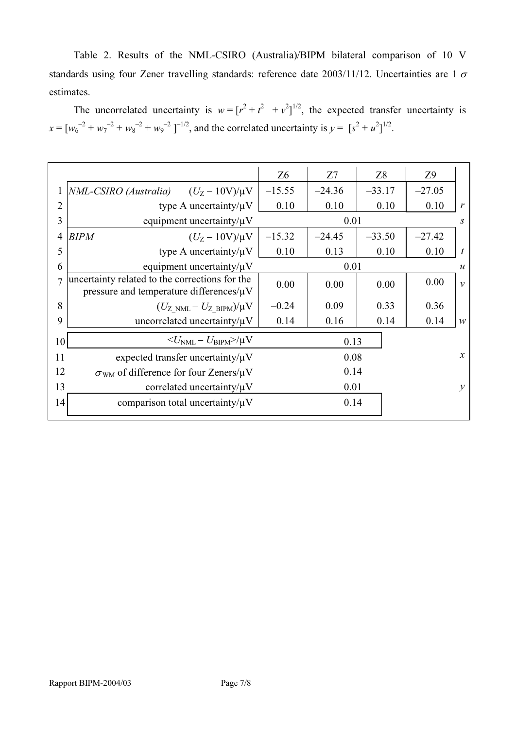Table 2. Results of the NML-CSIRO (Australia)/BIPM bilateral comparison of 10 V standards using four Zener travelling standards: reference date  $2003/11/12$ . Uncertainties are 1  $\sigma$ estimates.

The uncorrelated uncertainty is  $w = [r^2 + r^2 + r^2]^{1/2}$ , the expected transfer uncertainty is  $x = [w_6^{-2} + w_7^{-2} + w_8^{-2} + w_9^{-2}]^{-1/2}$ , and the correlated uncertainty is  $y = [s^2 + u^2]^{1/2}$ .

|                |                                                                                                 | Z <sub>6</sub> | Z7       | Z <sup>8</sup> | Z <sub>9</sub>   |                  |
|----------------|-------------------------------------------------------------------------------------------------|----------------|----------|----------------|------------------|------------------|
|                | NML-CSIRO (Australia)<br>$(U_{Z} - 10V)/\mu V$                                                  | $-15.55$       | $-24.36$ | $-33.17$       | $-27.05$         |                  |
| $\overline{2}$ | type A uncertainty/ $\mu$ V                                                                     | 0.10           | 0.10     | 0.10           | 0.10             | $\mathbf{r}$     |
| 3              | equipment uncertainty/ $\mu$ V                                                                  | 0.01           |          |                | S.               |                  |
| $\overline{4}$ | <b>BIPM</b><br>$(U_Z - 10V)/\mu V$                                                              | $-15.32$       | $-24.45$ | $-33.50$       | $-27.42$         |                  |
| 5              | type A uncertainty/ $\mu$ V                                                                     | 0.10           | 0.13     | 0.10           | 0.10             | $\boldsymbol{t}$ |
| 6              | equipment uncertainty/ $\mu$ V                                                                  | 0.01           |          |                | $\boldsymbol{u}$ |                  |
| 7              | uncertainty related to the corrections for the<br>pressure and temperature differences/ $\mu$ V | 0.00           | 0.00     | 0.00           | 0.00             | $\mathcal{V}$    |
| 8              | $(U_{Z NML} - U_{Z BIPM})/\mu V$                                                                | $-0.24$        | 0.09     | 0.33           | 0.36             |                  |
| 9              | uncorrelated uncertainty/ $\mu$ V                                                               | 0.14           | 0.16     | 0.14           | 0.14             | $\mathcal W$     |
| 10             | $\langle U_{\rm NML} - U_{\rm BIPM} \rangle / \mu V$                                            |                | 0.13     |                |                  |                  |
| 11             | expected transfer uncertainty/ $\mu$ V                                                          | 0.08           |          |                | $\mathcal{X}$    |                  |
| 12             | $\sigma_{WM}$ of difference for four Zeners/ $\mu$ V                                            | 0.14           |          |                |                  |                  |
| 13             | correlated uncertainty/ $\mu$ V                                                                 | 0.01           |          |                |                  | $\mathcal{V}$    |
| 14             | comparison total uncertainty/ $\mu$ V                                                           |                | 0.14     |                |                  |                  |